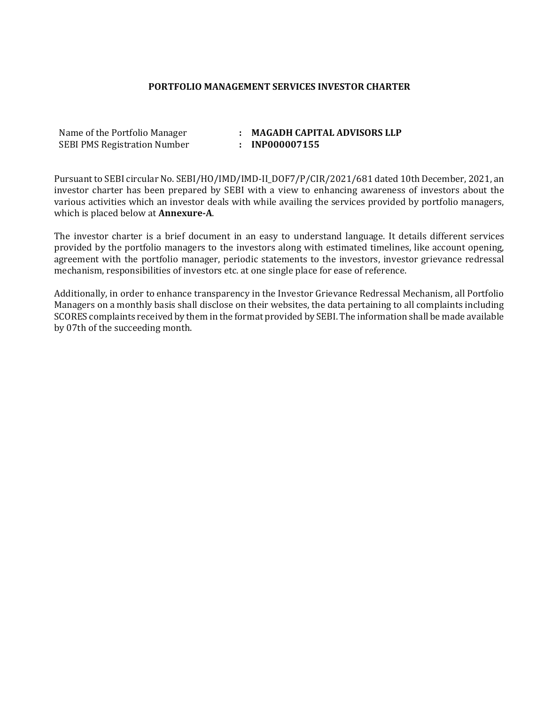#### PORTFOLIO MANAGEMENT SERVICES INVESTOR CHARTER

| Name of the Portfolio Manager       | <b>MAGADH CAPIT</b> |
|-------------------------------------|---------------------|
| <b>SEBI PMS Registration Number</b> | : INP000007155      |

#### : MAGADH CAPITAL ADVISORS LLP

Pursuant to SEBI circular No. SEBI/HO/IMD/IMD-II\_DOF7/P/CIR/2021/681 dated 10th December, 2021, an investor charter has been prepared by SEBI with a view to enhancing awareness of investors about the various activities which an investor deals with while availing the services provided by portfolio managers, which is placed below at **Annexure-A**.

The investor charter is a brief document in an easy to understand language. It details different services provided by the portfolio managers to the investors along with estimated timelines, like account opening, agreement with the portfolio manager, periodic statements to the investors, investor grievance redressal mechanism, responsibilities of investors etc. at one single place for ease of reference.

Additionally, in order to enhance transparency in the Investor Grievance Redressal Mechanism, all Portfolio Managers on a monthly basis shall disclose on their websites, the data pertaining to all complaints including SCORES complaints received by them in the format provided by SEBI. The information shall be made available by 07th of the succeeding month.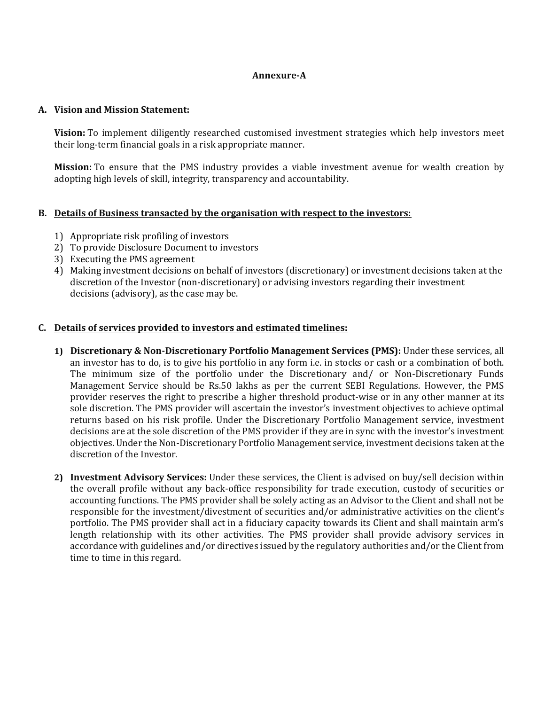## Annexure-A

#### A. Vision and Mission Statement:

Vision: To implement diligently researched customised investment strategies which help investors meet their long-term financial goals in a risk appropriate manner.

Mission: To ensure that the PMS industry provides a viable investment avenue for wealth creation by adopting high levels of skill, integrity, transparency and accountability.

## B. Details of Business transacted by the organisation with respect to the investors:

- 1) Appropriate risk profiling of investors
- 2) To provide Disclosure Document to investors
- 3) Executing the PMS agreement
- 4) Making investment decisions on behalf of investors (discretionary) or investment decisions taken at the discretion of the Investor (non-discretionary) or advising investors regarding their investment decisions (advisory), as the case may be.

## C. Details of services provided to investors and estimated timelines:

- 1) Discretionary & Non-Discretionary Portfolio Management Services (PMS): Under these services, all an investor has to do, is to give his portfolio in any form i.e. in stocks or cash or a combination of both. The minimum size of the portfolio under the Discretionary and/ or Non-Discretionary Funds Management Service should be Rs.50 lakhs as per the current SEBI Regulations. However, the PMS provider reserves the right to prescribe a higher threshold product-wise or in any other manner at its sole discretion. The PMS provider will ascertain the investor's investment objectives to achieve optimal returns based on his risk profile. Under the Discretionary Portfolio Management service, investment decisions are at the sole discretion of the PMS provider if they are in sync with the investor's investment objectives. Under the Non-Discretionary Portfolio Management service, investment decisions taken at the discretion of the Investor.
- 2) Investment Advisory Services: Under these services, the Client is advised on buy/sell decision within the overall profile without any back-office responsibility for trade execution, custody of securities or accounting functions. The PMS provider shall be solely acting as an Advisor to the Client and shall not be responsible for the investment/divestment of securities and/or administrative activities on the client's portfolio. The PMS provider shall act in a fiduciary capacity towards its Client and shall maintain arm's length relationship with its other activities. The PMS provider shall provide advisory services in accordance with guidelines and/or directives issued by the regulatory authorities and/or the Client from time to time in this regard.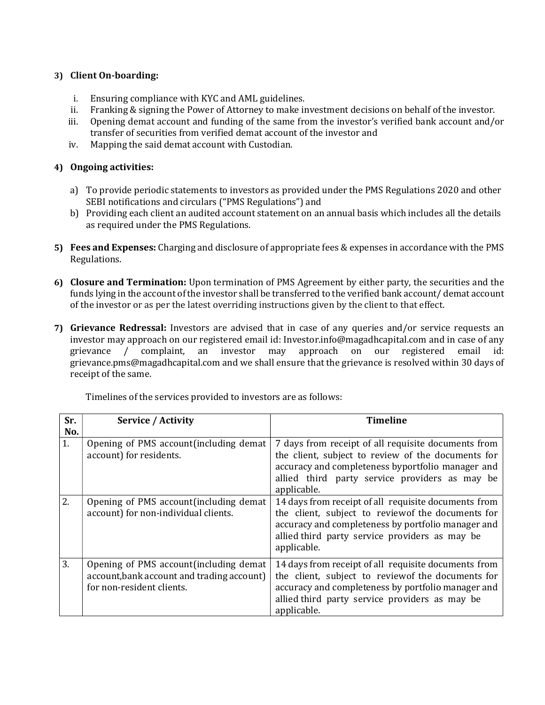# 3) Client On-boarding:

- i. Ensuring compliance with KYC and AML guidelines.
- ii. Franking & signing the Power of Attorney to make investment decisions on behalf of the investor.
- iii. Opening demat account and funding of the same from the investor's verified bank account and/or transfer of securities from verified demat account of the investor and
- iv. Mapping the said demat account with Custodian.

# 4) Ongoing activities:

- a) To provide periodic statements to investors as provided under the PMS Regulations 2020 and other SEBI notifications and circulars ("PMS Regulations") and
- b) Providing each client an audited account statement on an annual basis which includes all the details as required under the PMS Regulations.
- 5) Fees and Expenses: Charging and disclosure of appropriate fees & expenses in accordance with the PMS Regulations.
- 6) Closure and Termination: Upon termination of PMS Agreement by either party, the securities and the funds lying in the account of the investor shall be transferred to the verified bank account/demat account of the investor or as per the latest overriding instructions given by the client to that effect.
- 7) Grievance Redressal: Investors are advised that in case of any queries and/or service requests an investor may approach on our registered email id: Investor.info@magadhcapital.com and in case of any grievance / complaint, an investor may approach on our registered email id: grievance.pms@magadhcapital.com and we shall ensure that the grievance is resolved within 30 days of receipt of the same.

| Sr.       | <b>Service / Activity</b>                                                                                          | <b>Timeline</b>                                                                                                                                                                                                                   |
|-----------|--------------------------------------------------------------------------------------------------------------------|-----------------------------------------------------------------------------------------------------------------------------------------------------------------------------------------------------------------------------------|
| No.<br>1. | Opening of PMS account (including demat<br>account) for residents.                                                 | 7 days from receipt of all requisite documents from<br>the client, subject to review of the documents for<br>accuracy and completeness byportfolio manager and<br>allied third party service providers as may be<br>applicable.   |
| 2.        | Opening of PMS account (including demat<br>account) for non-individual clients.                                    | 14 days from receipt of all requisite documents from<br>the client, subject to review of the documents for<br>accuracy and completeness by portfolio manager and<br>allied third party service providers as may be<br>applicable. |
| 3.        | Opening of PMS account (including demat<br>account, bank account and trading account)<br>for non-resident clients. | 14 days from receipt of all requisite documents from<br>the client, subject to review of the documents for<br>accuracy and completeness by portfolio manager and<br>allied third party service providers as may be<br>applicable. |

Timelines of the services provided to investors are as follows: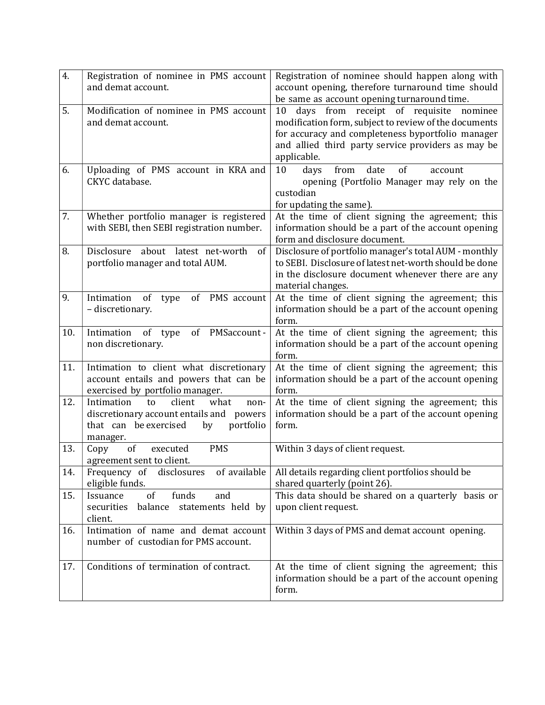| 4.  | Registration of nominee in PMS account<br>and demat account.                                                                                      | Registration of nominee should happen along with<br>account opening, therefore turnaround time should<br>be same as account opening turnaround time.                                                                               |
|-----|---------------------------------------------------------------------------------------------------------------------------------------------------|------------------------------------------------------------------------------------------------------------------------------------------------------------------------------------------------------------------------------------|
| 5.  | Modification of nominee in PMS account<br>and demat account.                                                                                      | days from receipt of requisite<br>10<br>nominee<br>modification form, subject to review of the documents<br>for accuracy and completeness byportfolio manager<br>and allied third party service providers as may be<br>applicable. |
| 6.  | Uploading of PMS account in KRA and<br>CKYC database.                                                                                             | date<br>10<br>from<br>of<br>days<br>account<br>opening (Portfolio Manager may rely on the<br>custodian<br>for updating the same).                                                                                                  |
| 7.  | Whether portfolio manager is registered<br>with SEBI, then SEBI registration number.                                                              | At the time of client signing the agreement; this<br>information should be a part of the account opening<br>form and disclosure document.                                                                                          |
| 8.  | about<br>Disclosure<br>latest net-worth<br>of<br>portfolio manager and total AUM.                                                                 | Disclosure of portfolio manager's total AUM - monthly<br>to SEBI. Disclosure of latest net-worth should be done<br>in the disclosure document whenever there are any<br>material changes.                                          |
| 9.  | Intimation<br>of PMS account<br>of<br>type<br>- discretionary.                                                                                    | At the time of client signing the agreement; this<br>information should be a part of the account opening<br>form.                                                                                                                  |
| 10. | of type<br>of PMSaccount-<br>Intimation<br>non discretionary.                                                                                     | At the time of client signing the agreement; this<br>information should be a part of the account opening<br>form.                                                                                                                  |
| 11. | Intimation to client what discretionary<br>account entails and powers that can be<br>exercised by portfolio manager.                              | At the time of client signing the agreement; this<br>information should be a part of the account opening<br>form.                                                                                                                  |
| 12. | Intimation<br>client<br>what<br>to<br>non-<br>discretionary account entails and<br>powers<br>that can be exercised<br>portfolio<br>by<br>manager. | At the time of client signing the agreement; this<br>information should be a part of the account opening<br>form.                                                                                                                  |
| 13. | <b>PMS</b><br>Copy<br>of<br>executed<br>agreement sent to client.                                                                                 | Within 3 days of client request.                                                                                                                                                                                                   |
| 14. | Frequency of disclosures<br>of available<br>eligible funds.                                                                                       | All details regarding client portfolios should be<br>shared quarterly (point 26).                                                                                                                                                  |
| 15. | funds<br>of<br>and<br>Issuance<br>statements held by<br>securities<br>balance<br>client.                                                          | This data should be shared on a quarterly basis or<br>upon client request.                                                                                                                                                         |
| 16. | Intimation of name and demat account<br>number of custodian for PMS account.                                                                      | Within 3 days of PMS and demat account opening.                                                                                                                                                                                    |
| 17. | Conditions of termination of contract.                                                                                                            | At the time of client signing the agreement; this<br>information should be a part of the account opening<br>form.                                                                                                                  |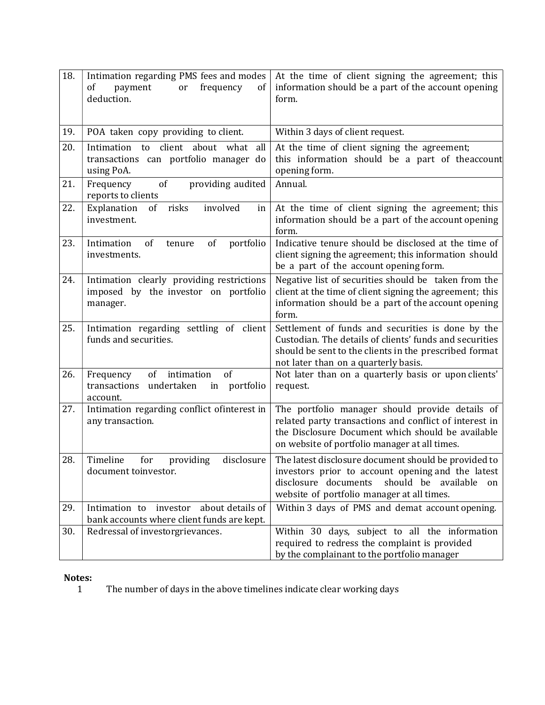| 18. | Intimation regarding PMS fees and modes<br>of<br>payment<br>frequency<br>of<br>or<br>deduction.  | At the time of client signing the agreement; this<br>information should be a part of the account opening<br>form.                                                                                               |
|-----|--------------------------------------------------------------------------------------------------|-----------------------------------------------------------------------------------------------------------------------------------------------------------------------------------------------------------------|
| 19. | POA taken copy providing to client.                                                              | Within 3 days of client request.                                                                                                                                                                                |
| 20. | client about what all<br>Intimation to<br>transactions can portfolio manager do<br>using PoA.    | At the time of client signing the agreement;<br>this information should be a part of theaccount<br>opening form.                                                                                                |
| 21. | of<br>providing audited<br>Frequency<br>reports to clients                                       | Annual.                                                                                                                                                                                                         |
| 22. | Explanation<br>involved<br>of<br>risks<br>in<br>investment.                                      | At the time of client signing the agreement; this<br>information should be a part of the account opening<br>form.                                                                                               |
| 23. | of<br>of<br>portfolio<br>Intimation<br>tenure<br>investments.                                    | Indicative tenure should be disclosed at the time of<br>client signing the agreement; this information should<br>be a part of the account opening form.                                                         |
| 24. | Intimation clearly providing restrictions<br>imposed by the investor on portfolio<br>manager.    | Negative list of securities should be taken from the<br>client at the time of client signing the agreement; this<br>information should be a part of the account opening<br>form.                                |
| 25. | Intimation regarding settling of client<br>funds and securities.                                 | Settlement of funds and securities is done by the<br>Custodian. The details of clients' funds and securities<br>should be sent to the clients in the prescribed format<br>not later than on a quarterly basis.  |
| 26. | intimation<br>of<br>Frequency<br>of<br>undertaken<br>portfolio<br>transactions<br>in<br>account. | Not later than on a quarterly basis or upon clients'<br>request.                                                                                                                                                |
| 27. | Intimation regarding conflict ofinterest in<br>any transaction.                                  | The portfolio manager should provide details of<br>related party transactions and conflict of interest in<br>the Disclosure Document which should be available<br>on website of portfolio manager at all times. |
| 28. | Timeline<br>disclosure<br>for<br>providing<br>document toinvestor.                               | The latest disclosure document should be provided to<br>investors prior to account opening and the latest<br>disclosure documents<br>should be available on<br>website of portfolio manager at all times.       |
| 29. | about details of<br>Intimation to<br>investor<br>bank accounts where client funds are kept.      | Within 3 days of PMS and demat account opening.                                                                                                                                                                 |
| 30. | Redressal of investorgrievances.                                                                 | Within 30 days, subject to all the information<br>required to redress the complaint is provided<br>by the complainant to the portfolio manager                                                                  |

# Notes:<br>1

The number of days in the above timelines indicate clear working days